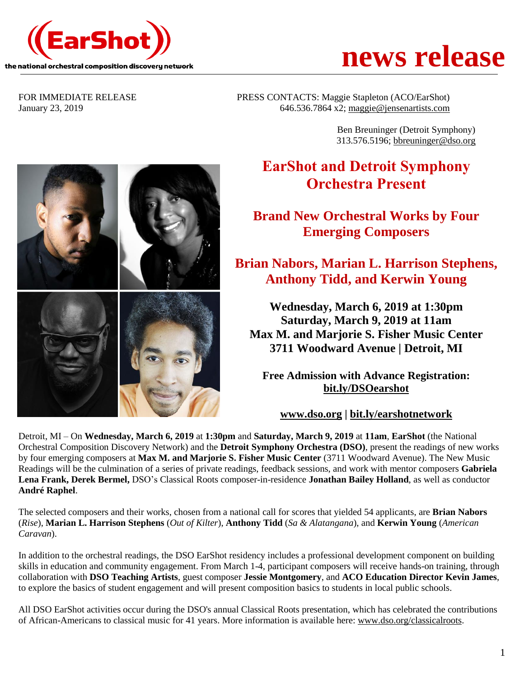



FOR IMMEDIATE RELEASE PRESS CONTACTS: Maggie Stapleton (ACO/EarShot) January 23, 2019 646.536.7864 x2; [maggie@jensenartists.com](mailto:maggie@jensenartists.com)

> Ben Breuninger (Detroit Symphony) 313.576.5196; [bbreuninger@dso.org](mailto:bbreuninger@dso.org)

# **EarShot and Detroit Symphony Orchestra Present**

**Brand New Orchestral Works by Four Emerging Composers**

## **Brian Nabors, Marian L. Harrison Stephens, Anthony Tidd, and Kerwin Young**

**Wednesday, March 6, 2019 at 1:30pm Saturday, March 9, 2019 at 11am Max M. and Marjorie S. Fisher Music Center 3711 Woodward Avenue | Detroit, MI**

**Free Admission with Advance Registration: [bit.ly/DSOearshot](http://bit.ly/DSOearshot)**

**[www.dso.org](http://www.dso.org/) | [bit.ly/earshotnetwork](http://bit.ly/earshotnetwork)**

Detroit, MI – On **Wednesday, March 6, 2019** at **1:30pm** and **Saturday, March 9, 2019** at **11am**, **EarShot** (the National Orchestral Composition Discovery Network) and the **Detroit Symphony Orchestra (DSO)**, present the readings of new works by four emerging composers at **Max M. and Marjorie S. Fisher Music Center** (3711 Woodward Avenue). The New Music Readings will be the culmination of a series of private readings, feedback sessions, and work with mentor composers **Gabriela Lena Frank, Derek Bermel,** DSO's Classical Roots composer-in-residence **Jonathan Bailey Holland**, as well as conductor **André Raphel**.

The selected composers and their works, chosen from a national call for scores that yielded 54 applicants, are **Brian Nabors** (*Rise*), **Marian L. Harrison Stephens** (*Out of Kilter*), **Anthony Tidd** (*Sa & Alatangana*), and **Kerwin Young** (*American Caravan*).

In addition to the orchestral readings, the DSO EarShot residency includes a professional development component on building skills in education and community engagement. From March 1-4, participant composers will receive hands-on training, through collaboration with **DSO Teaching Artists**, guest composer **Jessie Montgomery**, and **ACO Education Director Kevin James**, to explore the basics of student engagement and will present composition basics to students in local public schools.

All DSO EarShot activities occur during the DSO's annual Classical Roots presentation, which has celebrated the contributions of African-Americans to classical music for 41 years. More information is available here: [www.dso.org/classicalroots.](http://www.dso.org/classicalroots)

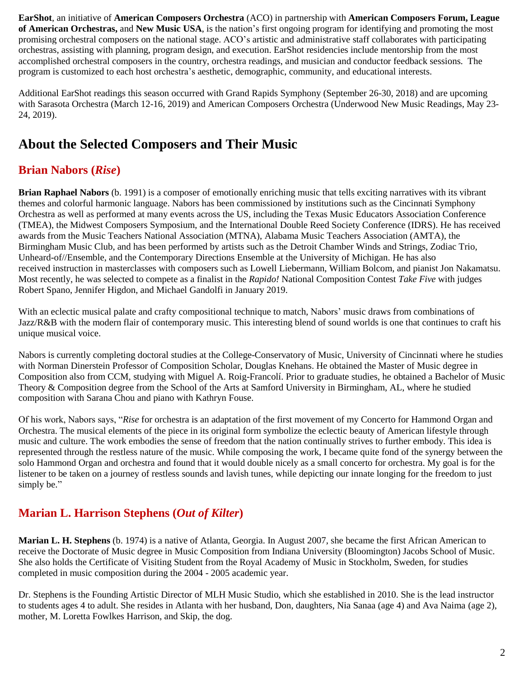**EarShot**, an initiative of **American Composers Orchestra** (ACO) in partnership with **American Composers Forum, League of American Orchestras,** and **New Music USA**, is the nation's first ongoing program for identifying and promoting the most promising orchestral composers on the national stage. ACO's artistic and administrative staff collaborates with participating orchestras, assisting with planning, program design, and execution. EarShot residencies include mentorship from the most accomplished orchestral composers in the country, orchestra readings, and musician and conductor feedback sessions. The program is customized to each host orchestra's aesthetic, demographic, community, and educational interests.

Additional EarShot readings this season occurred with Grand Rapids Symphony (September 26-30, 2018) and are upcoming with Sarasota Orchestra (March 12-16, 2019) and American Composers Orchestra (Underwood New Music Readings, May 23- 24, 2019).

# **About the Selected Composers and Their Music**

### **Brian Nabors (***Rise***)**

**Brian Raphael Nabors** (b. 1991) is a composer of emotionally enriching music that tells exciting narratives with its vibrant themes and colorful harmonic language. Nabors has been commissioned by institutions such as the Cincinnati Symphony Orchestra as well as performed at many events across the US, including the Texas Music Educators Association Conference (TMEA), the Midwest Composers Symposium, and the International Double Reed Society Conference (IDRS). He has received awards from the Music Teachers National Association (MTNA), Alabama Music Teachers Association (AMTA), the Birmingham Music Club, and has been performed by artists such as the Detroit Chamber Winds and Strings, Zodiac Trio, Unheard-of//Ensemble, and the Contemporary Directions Ensemble at the University of Michigan. He has also received instruction in masterclasses with composers such as Lowell Liebermann, William Bolcom, and pianist Jon Nakamatsu. Most recently, he was selected to compete as a finalist in the *Rapido!* National Composition Contest *Take Five* with judges Robert Spano, Jennifer Higdon, and Michael Gandolfi in January 2019.

With an eclectic musical palate and crafty compositional technique to match, Nabors' music draws from combinations of Jazz/R&B with the modern flair of contemporary music. This interesting blend of sound worlds is one that continues to craft his unique musical voice.

Nabors is currently completing doctoral studies at the College-Conservatory of Music, University of Cincinnati where he studies with Norman Dinerstein Professor of Composition Scholar, Douglas Knehans. He obtained the Master of Music degree in Composition also from CCM, studying with Miguel A. Roig-Francolí. Prior to graduate studies, he obtained a Bachelor of Music Theory & Composition degree from the School of the Arts at Samford University in Birmingham, AL, where he studied composition with Sarana Chou and piano with Kathryn Fouse.

Of his work, Nabors says, "*Rise* for orchestra is an adaptation of the first movement of my Concerto for Hammond Organ and Orchestra. The musical elements of the piece in its original form symbolize the eclectic beauty of American lifestyle through music and culture. The work embodies the sense of freedom that the nation continually strives to further embody. This idea is represented through the restless nature of the music. While composing the work, I became quite fond of the synergy between the solo Hammond Organ and orchestra and found that it would double nicely as a small concerto for orchestra. My goal is for the listener to be taken on a journey of restless sounds and lavish tunes, while depicting our innate longing for the freedom to just simply be."

#### **Marian L. Harrison Stephens (***Out of Kilter***)**

**Marian L. H. Stephens** (b. 1974) is a native of Atlanta, Georgia. In August 2007, she became the first African American to receive the Doctorate of Music degree in Music Composition from Indiana University (Bloomington) Jacobs School of Music. She also holds the Certificate of Visiting Student from the Royal Academy of Music in Stockholm, Sweden, for studies completed in music composition during the 2004 - 2005 academic year.

Dr. Stephens is the Founding Artistic Director of MLH Music Studio, which she established in 2010. She is the lead instructor to students ages 4 to adult. She resides in Atlanta with her husband, Don, daughters, Nia Sanaa (age 4) and Ava Naima (age 2), mother, M. Loretta Fowlkes Harrison, and Skip, the dog.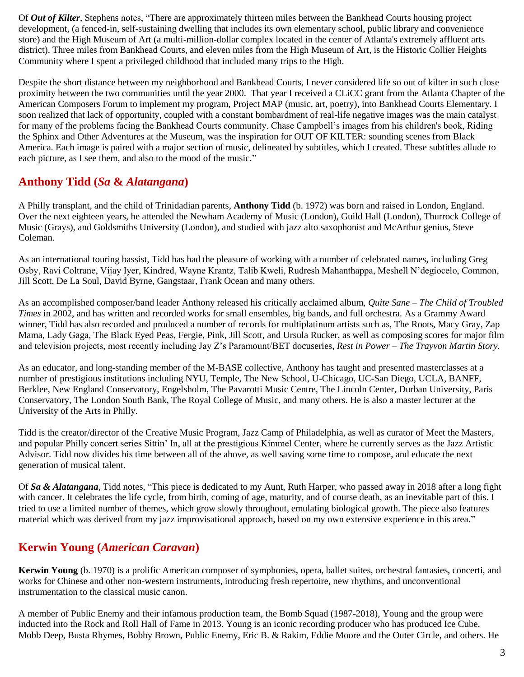Of *Out of Kilter*, Stephens notes, "There are approximately thirteen miles between the Bankhead Courts housing project development, (a fenced-in, self-sustaining dwelling that includes its own elementary school, public library and convenience store) and the High Museum of Art (a multi-million-dollar complex located in the center of Atlanta's extremely affluent arts district). Three miles from Bankhead Courts, and eleven miles from the High Museum of Art, is the Historic Collier Heights Community where I spent a privileged childhood that included many trips to the High.

Despite the short distance between my neighborhood and Bankhead Courts, I never considered life so out of kilter in such close proximity between the two communities until the year 2000. That year I received a CLiCC grant from the Atlanta Chapter of the American Composers Forum to implement my program, Project MAP (music, art, poetry), into Bankhead Courts Elementary. I soon realized that lack of opportunity, coupled with a constant bombardment of real-life negative images was the main catalyst for many of the problems facing the Bankhead Courts community. Chase Campbell's images from his children's book, Riding the Sphinx and Other Adventures at the Museum, was the inspiration for OUT OF KILTER: sounding scenes from Black America. Each image is paired with a major section of music, delineated by subtitles, which I created. These subtitles allude to each picture, as I see them, and also to the mood of the music."

#### **Anthony Tidd (***Sa* **&** *Alatangana***)**

A Philly transplant, and the child of Trinidadian parents, **Anthony Tidd** (b. 1972) was born and raised in London, England. Over the next eighteen years, he attended the Newham Academy of Music (London), Guild Hall (London), Thurrock College of Music (Grays), and Goldsmiths University (London), and studied with jazz alto saxophonist and McArthur genius, Steve Coleman.

As an international touring bassist, Tidd has had the pleasure of working with a number of celebrated names, including Greg Osby, Ravi Coltrane, Vijay Iyer, Kindred, Wayne Krantz, Talib Kweli, Rudresh Mahanthappa, Meshell N'degiocelo, Common, Jill Scott, De La Soul, David Byrne, Gangstaar, Frank Ocean and many others.

As an accomplished composer/band leader Anthony released his critically acclaimed album, *Quite Sane – The Child of Troubled Times* in 2002, and has written and recorded works for small ensembles, big bands, and full orchestra. As a Grammy Award winner, Tidd has also recorded and produced a number of records for multiplatinum artists such as, The Roots, Macy Gray, Zap Mama, Lady Gaga, The Black Eyed Peas, Fergie, Pink, Jill Scott, and Ursula Rucker, as well as composing scores for major film and television projects, most recently including Jay Z's Paramount/BET docuseries, *Rest in Power – The Trayvon Martin Story.*

As an educator, and long-standing member of the M-BASE collective, Anthony has taught and presented masterclasses at a number of prestigious institutions including NYU, Temple, The New School, U-Chicago, UC-San Diego, UCLA, BANFF, Berklee, New England Conservatory, Engelsholm, The Pavarotti Music Centre, The Lincoln Center, Durban University, Paris Conservatory, The London South Bank, The Royal College of Music, and many others. He is also a master lecturer at the University of the Arts in Philly.

Tidd is the creator/director of the Creative Music Program, Jazz Camp of Philadelphia, as well as curator of Meet the Masters, and popular Philly concert series Sittin' In, all at the prestigious Kimmel Center, where he currently serves as the Jazz Artistic Advisor. Tidd now divides his time between all of the above, as well saving some time to compose, and educate the next generation of musical talent.

Of *Sa & Alatangana,* Tidd notes, "This piece is dedicated to my Aunt, Ruth Harper, who passed away in 2018 after a long fight with cancer. It celebrates the life cycle, from birth, coming of age, maturity, and of course death, as an inevitable part of this. I tried to use a limited number of themes, which grow slowly throughout, emulating biological growth. The piece also features material which was derived from my jazz improvisational approach, based on my own extensive experience in this area."

#### **Kerwin Young (***American Caravan***)**

**Kerwin Young** (b. 1970) is a prolific American composer of symphonies, opera, ballet suites, orchestral fantasies, concerti, and works for Chinese and other non-western instruments, introducing fresh repertoire, new rhythms, and unconventional instrumentation to the classical music canon.

A member of Public Enemy and their infamous production team, the Bomb Squad (1987-2018), Young and the group were inducted into the Rock and Roll Hall of Fame in 2013. Young is an iconic recording producer who has produced Ice Cube, Mobb Deep, Busta Rhymes, Bobby Brown, Public Enemy, Eric B. & Rakim, Eddie Moore and the Outer Circle, and others. He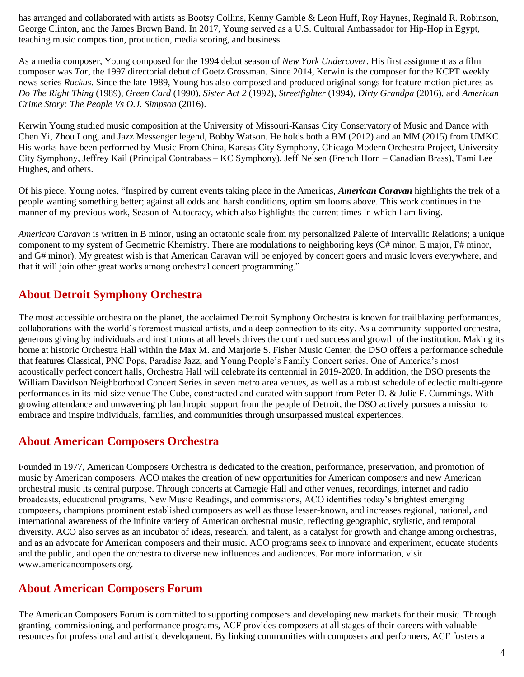has arranged and collaborated with artists as Bootsy Collins, Kenny Gamble & Leon Huff, Roy Haynes, Reginald R. Robinson, George Clinton, and the James Brown Band. In 2017, Young served as a U.S. Cultural Ambassador for Hip-Hop in Egypt, teaching music composition, production, media scoring, and business.

As a media composer, Young composed for the 1994 debut season of *New York Undercover*. His first assignment as a film composer was *Tar*, the 1997 directorial debut of Goetz Grossman. Since 2014, Kerwin is the composer for the KCPT weekly news series *Ruckus*. Since the late 1989, Young has also composed and produced original songs for feature motion pictures as *Do The Right Thing* (1989), *Green Card* (1990), *Sister Act 2* (1992), *Streetfighter* (1994), *Dirty Grandpa* (2016), and *American Crime Story: The People Vs O.J. Simpson* (2016).

Kerwin Young studied music composition at the University of Missouri-Kansas City Conservatory of Music and Dance with Chen Yi, Zhou Long, and Jazz Messenger legend, Bobby Watson. He holds both a BM (2012) and an MM (2015) from UMKC. His works have been performed by Music From China, Kansas City Symphony, Chicago Modern Orchestra Project, University City Symphony, Jeffrey Kail (Principal Contrabass – KC Symphony), Jeff Nelsen (French Horn – Canadian Brass), Tami Lee Hughes, and others.

Of his piece, Young notes, "Inspired by current events taking place in the Americas, *American Caravan* highlights the trek of a people wanting something better; against all odds and harsh conditions, optimism looms above. This work continues in the manner of my previous work, Season of Autocracy, which also highlights the current times in which I am living.

*American Caravan* is written in B minor, using an octatonic scale from my personalized Palette of Intervallic Relations; a unique component to my system of Geometric Khemistry. There are modulations to neighboring keys (C# minor, E major, F# minor, and G# minor). My greatest wish is that American Caravan will be enjoyed by concert goers and music lovers everywhere, and that it will join other great works among orchestral concert programming."

### **About Detroit Symphony Orchestra**

The most accessible orchestra on the planet, the acclaimed Detroit Symphony Orchestra is known for trailblazing performances, collaborations with the world's foremost musical artists, and a deep connection to its city. As a community-supported orchestra, generous giving by individuals and institutions at all levels drives the continued success and growth of the institution. Making its home at historic Orchestra Hall within the Max M. and Marjorie S. Fisher Music Center, the DSO offers a performance schedule that features Classical, PNC Pops, Paradise Jazz, and Young People's Family Concert series. One of America's most acoustically perfect concert halls, Orchestra Hall will celebrate its centennial in 2019-2020. In addition, the DSO presents the William Davidson Neighborhood Concert Series in seven metro area venues, as well as a robust schedule of eclectic multi-genre performances in its mid-size venue The Cube, constructed and curated with support from Peter D. & Julie F. Cummings. With growing attendance and unwavering philanthropic support from the people of Detroit, the DSO actively pursues a mission to embrace and inspire individuals, families, and communities through unsurpassed musical experiences.

#### **About American Composers Orchestra**

Founded in 1977, American Composers Orchestra is dedicated to the creation, performance, preservation, and promotion of music by American composers. ACO makes the creation of new opportunities for American composers and new American orchestral music its central purpose. Through concerts at Carnegie Hall and other venues, recordings, internet and radio broadcasts, educational programs, New Music Readings, and commissions, ACO identifies today's brightest emerging composers, champions prominent established composers as well as those lesser-known, and increases regional, national, and international awareness of the infinite variety of American orchestral music, reflecting geographic, stylistic, and temporal diversity. ACO also serves as an incubator of ideas, research, and talent, as a catalyst for growth and change among orchestras, and as an advocate for American composers and their music. ACO programs seek to innovate and experiment, educate students and the public, and open the orchestra to diverse new influences and audiences. For more information, visit [www.americancomposers.org.](http://www.americancomposers.org/)

#### **About American Composers Forum**

The American Composers Forum is committed to supporting composers and developing new markets for their music. Through granting, commissioning, and performance programs, ACF provides composers at all stages of their careers with valuable resources for professional and artistic development. By linking communities with composers and performers, ACF fosters a